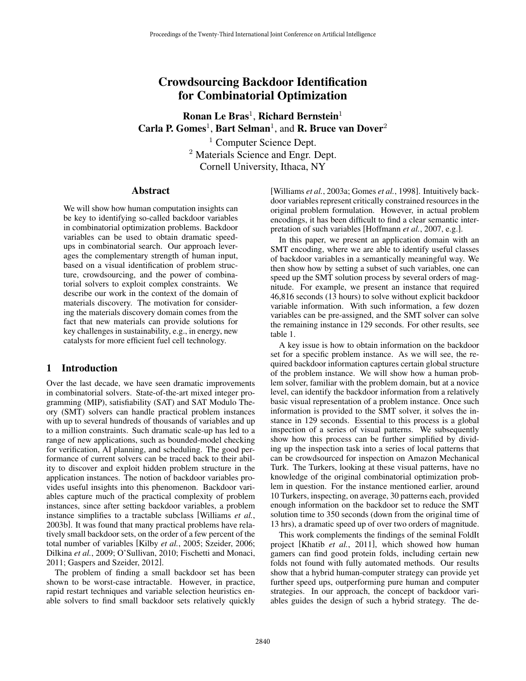# Crowdsourcing Backdoor Identification for Combinatorial Optimization

Ronan Le Bras<sup>1</sup>, Richard Bernstein<sup>1</sup> Carla P. Gomes<sup>1</sup>, Bart Selman<sup>1</sup>, and R. Bruce van Dover<sup>2</sup>

> <sup>1</sup> Computer Science Dept. <sup>2</sup> Materials Science and Engr. Dept. Cornell University, Ithaca, NY

#### Abstract

We will show how human computation insights can be key to identifying so-called backdoor variables in combinatorial optimization problems. Backdoor variables can be used to obtain dramatic speedups in combinatorial search. Our approach leverages the complementary strength of human input, based on a visual identification of problem structure, crowdsourcing, and the power of combinatorial solvers to exploit complex constraints. We describe our work in the context of the domain of materials discovery. The motivation for considering the materials discovery domain comes from the fact that new materials can provide solutions for key challenges in sustainability, e.g., in energy, new catalysts for more efficient fuel cell technology.

## 1 Introduction

Over the last decade, we have seen dramatic improvements in combinatorial solvers. State-of-the-art mixed integer programming (MIP), satisfiability (SAT) and SAT Modulo Theory (SMT) solvers can handle practical problem instances with up to several hundreds of thousands of variables and up to a million constraints. Such dramatic scale-up has led to a range of new applications, such as bounded-model checking for verification, AI planning, and scheduling. The good performance of current solvers can be traced back to their ability to discover and exploit hidden problem structure in the application instances. The notion of backdoor variables provides useful insights into this phenomenon. Backdoor variables capture much of the practical complexity of problem instances, since after setting backdoor variables, a problem instance simplifies to a tractable subclass [Williams *et al.*, 2003b]. It was found that many practical problems have relatively small backdoor sets, on the order of a few percent of the total number of variables [Kilby *et al.*, 2005; Szeider, 2006; Dilkina *et al.*, 2009; O'Sullivan, 2010; Fischetti and Monaci, 2011; Gaspers and Szeider, 2012].

The problem of finding a small backdoor set has been shown to be worst-case intractable. However, in practice, rapid restart techniques and variable selection heuristics enable solvers to find small backdoor sets relatively quickly [Williams *et al.*, 2003a; Gomes *et al.*, 1998]. Intuitively backdoor variables represent critically constrained resources in the original problem formulation. However, in actual problem encodings, it has been difficult to find a clear semantic interpretation of such variables [Hoffmann *et al.*, 2007, e.g.].

In this paper, we present an application domain with an SMT encoding, where we are able to identify useful classes of backdoor variables in a semantically meaningful way. We then show how by setting a subset of such variables, one can speed up the SMT solution process by several orders of magnitude. For example, we present an instance that required 46,816 seconds (13 hours) to solve without explicit backdoor variable information. With such information, a few dozen variables can be pre-assigned, and the SMT solver can solve the remaining instance in 129 seconds. For other results, see table 1.

A key issue is how to obtain information on the backdoor set for a specific problem instance. As we will see, the required backdoor information captures certain global structure of the problem instance. We will show how a human problem solver, familiar with the problem domain, but at a novice level, can identify the backdoor information from a relatively basic visual representation of a problem instance. Once such information is provided to the SMT solver, it solves the instance in 129 seconds. Essential to this process is a global inspection of a series of visual patterns. We subsequently show how this process can be further simplified by dividing up the inspection task into a series of local patterns that can be crowdsourced for inspection on Amazon Mechanical Turk. The Turkers, looking at these visual patterns, have no knowledge of the original combinatorial optimization problem in question. For the instance mentioned earlier, around 10 Turkers, inspecting, on average, 30 patterns each, provided enough information on the backdoor set to reduce the SMT solution time to 350 seconds (down from the original time of 13 hrs), a dramatic speed up of over two orders of magnitude.

This work complements the findings of the seminal FoldIt project [Khatib *et al.*, 2011], which showed how human gamers can find good protein folds, including certain new folds not found with fully automated methods. Our results show that a hybrid human-computer strategy can provide yet further speed ups, outperforming pure human and computer strategies. In our approach, the concept of backdoor variables guides the design of such a hybrid strategy. The de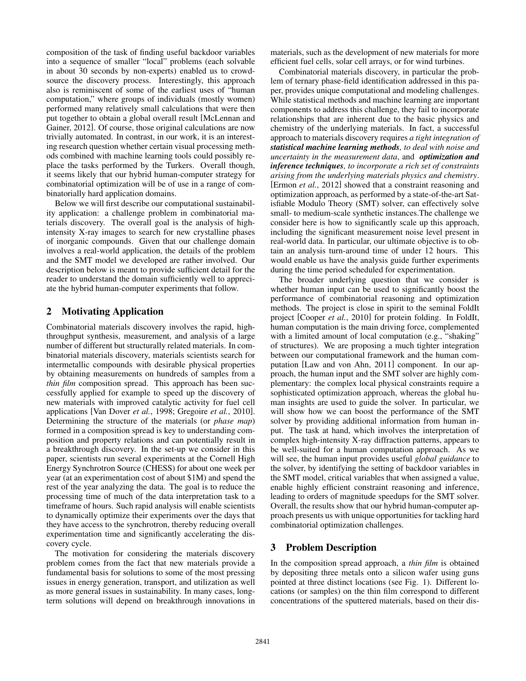composition of the task of finding useful backdoor variables into a sequence of smaller "local" problems (each solvable in about 30 seconds by non-experts) enabled us to crowdsource the discovery process. Interestingly, this approach also is reminiscent of some of the earliest uses of "human computation," where groups of individuals (mostly women) performed many relatively small calculations that were then put together to obtain a global overall result [McLennan and Gainer, 2012]. Of course, those original calculations are now trivially automated. In contrast, in our work, it is an interesting research question whether certain visual processing methods combined with machine learning tools could possibly replace the tasks performed by the Turkers. Overall though, it seems likely that our hybrid human-computer strategy for combinatorial optimization will be of use in a range of combinatorially hard application domains.

Below we will first describe our computational sustainability application: a challenge problem in combinatorial materials discovery. The overall goal is the analysis of highintensity X-ray images to search for new crystalline phases of inorganic compounds. Given that our challenge domain involves a real-world application, the details of the problem and the SMT model we developed are rather involved. Our description below is meant to provide sufficient detail for the reader to understand the domain sufficiently well to appreciate the hybrid human-computer experiments that follow.

# 2 Motivating Application

Combinatorial materials discovery involves the rapid, highthroughput synthesis, measurement, and analysis of a large number of different but structurally related materials. In combinatorial materials discovery, materials scientists search for intermetallic compounds with desirable physical properties by obtaining measurements on hundreds of samples from a *thin film* composition spread. This approach has been successfully applied for example to speed up the discovery of new materials with improved catalytic activity for fuel cell applications [Van Dover *et al.*, 1998; Gregoire *et al.*, 2010]. Determining the structure of the materials (or *phase map*) formed in a composition spread is key to understanding composition and property relations and can potentially result in a breakthrough discovery. In the set-up we consider in this paper, scientists run several experiments at the Cornell High Energy Synchrotron Source (CHESS) for about one week per year (at an experimentation cost of about \$1M) and spend the rest of the year analyzing the data. The goal is to reduce the processing time of much of the data interpretation task to a timeframe of hours. Such rapid analysis will enable scientists to dynamically optimize their experiments over the days that they have access to the synchrotron, thereby reducing overall experimentation time and significantly accelerating the discovery cycle.

The motivation for considering the materials discovery problem comes from the fact that new materials provide a fundamental basis for solutions to some of the most pressing issues in energy generation, transport, and utilization as well as more general issues in sustainability. In many cases, longterm solutions will depend on breakthrough innovations in materials, such as the development of new materials for more efficient fuel cells, solar cell arrays, or for wind turbines.

Combinatorial materials discovery, in particular the problem of ternary phase-field identification addressed in this paper, provides unique computational and modeling challenges. While statistical methods and machine learning are important components to address this challenge, they fail to incorporate relationships that are inherent due to the basic physics and chemistry of the underlying materials. In fact, a successful approach to materials discovery requires *a tight integration of statistical machine learning methods, to deal with noise and uncertainty in the measurement data*, and *optimization and inference techniques, to incorporate a rich set of constraints arising from the underlying materials physics and chemistry*. [Ermon *et al.*, 2012] showed that a constraint reasoning and optimization approach, as performed by a state-of-the-art Satisfiable Modulo Theory (SMT) solver, can effectively solve small- to medium-scale synthetic instances.The challenge we consider here is how to significantly scale up this approach, including the significant measurement noise level present in real-world data. In particular, our ultimate objective is to obtain an analysis turn-around time of under 12 hours. This would enable us have the analysis guide further experiments during the time period scheduled for experimentation.

The broader underlying question that we consider is whether human input can be used to significantly boost the performance of combinatorial reasoning and optimization methods. The project is close in spirit to the seminal FoldIt project [Cooper *et al.*, 2010] for protein folding. In FoldIt, human computation is the main driving force, complemented with a limited amount of local computation (e.g., "shaking" of structures). We are proposing a much tighter integration between our computational framework and the human computation [Law and von Ahn, 2011] component. In our approach, the human input and the SMT solver are highly complementary: the complex local physical constraints require a sophisticated optimization approach, whereas the global human insights are used to guide the solver. In particular, we will show how we can boost the performance of the SMT solver by providing additional information from human input. The task at hand, which involves the interpretation of complex high-intensity X-ray diffraction patterns, appears to be well-suited for a human computation approach. As we will see, the human input provides useful *global guidance* to the solver, by identifying the setting of backdoor variables in the SMT model, critical variables that when assigned a value, enable highly efficient constraint reasoning and inference, leading to orders of magnitude speedups for the SMT solver. Overall, the results show that our hybrid human-computer approach presents us with unique opportunities for tackling hard combinatorial optimization challenges.

# 3 Problem Description

In the composition spread approach, a *thin film* is obtained by depositing three metals onto a silicon wafer using guns pointed at three distinct locations (see Fig. 1). Different locations (or samples) on the thin film correspond to different concentrations of the sputtered materials, based on their dis-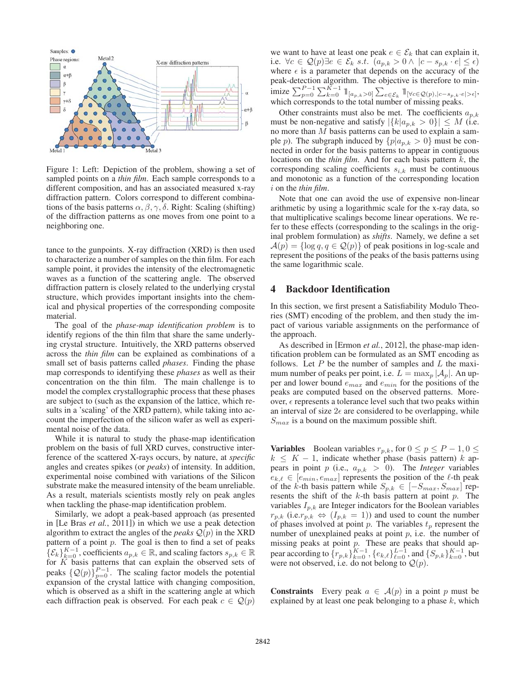

Figure 1: Left: Depiction of the problem, showing a set of sampled points on a *thin film*. Each sample corresponds to a different composition, and has an associated measured x-ray diffraction pattern. Colors correspond to different combinations of the basis patterns  $\alpha, \beta, \gamma, \delta$ . Right: Scaling (shifting) of the diffraction patterns as one moves from one point to a neighboring one.

tance to the gunpoints. X-ray diffraction (XRD) is then used to characterize a number of samples on the thin film. For each sample point, it provides the intensity of the electromagnetic waves as a function of the scattering angle. The observed diffraction pattern is closely related to the underlying crystal structure, which provides important insights into the chemical and physical properties of the corresponding composite material.

The goal of the *phase-map identification problem* is to identify regions of the thin film that share the same underlying crystal structure. Intuitively, the XRD patterns observed across the *thin film* can be explained as combinations of a small set of basis patterns called *phases*. Finding the phase map corresponds to identifying these *phases* as well as their concentration on the thin film. The main challenge is to model the complex crystallographic process that these phases are subject to (such as the expansion of the lattice, which results in a 'scaling' of the XRD pattern), while taking into account the imperfection of the silicon wafer as well as experimental noise of the data.

While it is natural to study the phase-map identification problem on the basis of full XRD curves, constructive interference of the scattered X-rays occurs, by nature, at *specific* angles and creates spikes (or *peaks*) of intensity. In addition, experimental noise combined with variations of the Silicon substrate make the measured intensity of the beam unreliable. As a result, materials scientists mostly rely on peak angles when tackling the phase-map identification problem.

Similarly, we adopt a peak-based approach (as presented in [Le Bras *et al.*, 2011]) in which we use a peak detection algorithm to extract the angles of the *peaks*  $Q(p)$  in the XRD pattern of a point  $p$ . The goal is then to find a set of peaks  $\{\mathcal{E}_k\}_{k=0}^{K-1}$ , coefficients  $a_{p,k} \in \mathbb{R}$ , and scaling factors  $s_{p,k} \in \mathbb{R}$ for  $K$  basis patterns that can explain the observed sets of peaks  $\{Q(p)\}_{p=0}^{P-1}$ . The scaling factor models the potential expansion of the crystal lattice with changing composition, which is observed as a shift in the scattering angle at which each diffraction peak is observed. For each peak  $c \in \mathcal{Q}(p)$  we want to have at least one peak  $e \in \mathcal{E}_k$  that can explain it, i.e.  $\forall c \in \mathcal{Q}(p) \exists e \in \mathcal{E}_k \ s.t. \ (a_{p,k} > 0 \land |c - s_{p,k} \cdot e| \leq \epsilon)$ where  $\epsilon$  is a parameter that depends on the accuracy of the peak-detection algorithm. The objective is therefore to minimize  $\sum_{p=0}^{P-1} \sum_{k=0}^{K-1} 1\!\!1_{[a_p,k>0]} \sum_{e \in \mathcal{E}_k} 1\!\!1_{[\forall c \in \mathcal{Q}(p), |c-s_p,k \cdot e|>\epsilon]},$ which corresponds to the total number of missing peaks.

Other constraints must also be met. The coefficients  $a_{p,k}$ must be non-negative and satisfy  $|\{k|a_{p,k} > 0\}| \leq M$  (i.e. no more than M basis patterns can be used to explain a sample *p*). The subgraph induced by  $\{p|a_{p,k} > 0\}$  must be connected in order for the basis patterns to appear in contiguous locations on the *thin film*. And for each basis pattern k, the corresponding scaling coefficients  $s_{i,k}$  must be continuous and monotonic as a function of the corresponding location i on the *thin film*.

Note that one can avoid the use of expensive non-linear arithmetic by using a logarithmic scale for the x-ray data, so that multiplicative scalings become linear operations. We refer to these effects (corresponding to the scalings in the original problem formulation) as *shifts*. Namely, we define a set  $\mathcal{A}(p) = \{\log q, q \in \mathcal{Q}(p)\}\$  of peak positions in log-scale and represent the positions of the peaks of the basis patterns using the same logarithmic scale.

### 4 Backdoor Identification

In this section, we first present a Satisfiability Modulo Theories (SMT) encoding of the problem, and then study the impact of various variable assignments on the performance of the approach.

As described in [Ermon *et al.*, 2012], the phase-map identification problem can be formulated as an SMT encoding as follows. Let  $P$  be the number of samples and  $L$  the maximum number of peaks per point, i.e.  $L = \max_{p} |\mathcal{A}_p|$ . An upper and lower bound  $e_{max}$  and  $e_{min}$  for the positions of the peaks are computed based on the observed patterns. Moreover,  $\epsilon$  represents a tolerance level such that two peaks within an interval of size  $2\epsilon$  are considered to be overlapping, while  $S_{max}$  is a bound on the maximum possible shift.

**Variables** Boolean variables  $r_{p,k}$ , for  $0 \le p \le P - 1, 0 \le$  $k \leq K - 1$ , indicate whether phase (basis pattern) k appears in point p (i.e.,  $a_{p,k} > 0$ ). The *Integer* variables  $e_{k,\ell} \in [e_{min}, e_{max}]$  represents the position of the  $\ell$ -th peak of the k-th basis pattern while  $S_{p,k} \in [-S_{max}, S_{max}]$  represents the shift of the  $k$ -th basis pattern at point  $p$ . The variables  $I_{p,k}$  are Integer indicators for the Boolean variables  $r_{p,k}$  (i.e. $r_{p,k} \Leftrightarrow (I_{p,k} = 1)$ ) and used to count the number of phases involved at point  $p$ . The variables  $t_p$  represent the number of unexplained peaks at point  $p$ , i.e. the number of missing peaks at point  $p$ . These are peaks that should appear according to  $\{r_{p,k}\}_{k=0}^{K-1}, \{e_{k,\ell}\}_{\ell=0}^{L-1},$  and  $\{S_{p,k}\}_{k=0}^{K-1}$ , but were not observed, i.e. do not belong to  $\mathcal{Q}(p)$ .

**Constraints** Every peak  $a \in \mathcal{A}(p)$  in a point p must be explained by at least one peak belonging to a phase  $k$ , which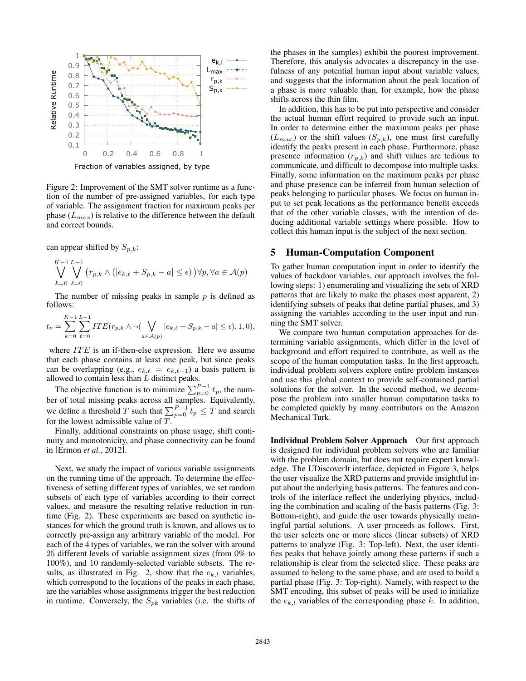

Fraction of variables assigned, by type

Figure 2: Improvement of the SMT solver runtime as a function of the number of pre-assigned variables, for each type of variable. The assignment fraction for maximum peaks per phase  $(L_{max})$  is relative to the difference between the default and correct bounds.

can appear shifted by  $S_{p,k}$ :

$$
\bigvee_{k=0}^{K-1} \bigvee_{\ell=0}^{L-1} (r_{p,k} \wedge (|e_{k,\ell} + S_{p,k} - a| \le \epsilon)) \forall p, \forall a \in \mathcal{A}(p)
$$

The number of missing peaks in sample  $p$  is defined as follows:

$$
t_p = \sum_{k=0}^{K-1} \sum_{\ell=0}^{L-1} ITE(r_{p,k} \wedge \neg (\bigvee_{a \in \mathcal{A}(p)} |e_{k,\ell} + S_{p,k} - a| \le \epsilon), 1, 0),
$$

where  $ITE$  is an if-then-else expression. Here we assume that each phase contains at least one peak, but since peaks can be overlapping (e.g.,  $e_{k,\ell} = e_{k,\ell+1}$ ) a basis pattern is allowed to contain less than L distinct peaks.

The objective function is to minimize  $\sum_{p=0}^{P-1} t_p$ , the number of total missing peaks across all samples. Equivalently, we define a threshold T such that  $\sum_{p=0}^{P-1} t_p \leq T$  and search for the lowest admissible value of  $T$ .

Finally, additional constraints on phase usage, shift continuity and monotonicity, and phase connectivity can be found in [Ermon *et al.*, 2012].

Next, we study the impact of various variable assignments on the running time of the approach. To determine the effectiveness of setting different types of variables, we set random subsets of each type of variables according to their correct values, and measure the resulting relative reduction in runtime (Fig. 2). These experiments are based on synthetic instances for which the ground truth is known, and allows us to correctly pre-assign any arbitrary variable of the model. For each of the 4 types of variables, we ran the solver with around 25 different levels of variable assignment sizes (from 0% to 100%), and 10 randomly-selected variable subsets. The results, as illustrated in Fig. 2, show that the  $e_{k,l}$  variables, which correspond to the locations of the peaks in each phase, are the variables whose assignments trigger the best reduction in runtime. Conversely, the  $S_{pk}$  variables (i.e. the shifts of the phases in the samples) exhibit the poorest improvement. Therefore, this analysis advocates a discrepancy in the usefulness of any potential human input about variable values, and suggests that the information about the peak location of a phase is more valuable than, for example, how the phase shifts across the thin film.

In addition, this has to be put into perspective and consider the actual human effort required to provide such an input. In order to determine either the maximum peaks per phase  $(L_{max})$  or the shift values  $(S_{p,k})$ , one must first carefully identify the peaks present in each phase. Furthermore, phase presence information  $(r_{p,k})$  and shift values are tedious to communicate, and difficult to decompose into multiple tasks. Finally, some information on the maximum peaks per phase and phase presence can be inferred from human selection of peaks belonging to particular phases. We focus on human input to set peak locations as the performance benefit exceeds that of the other variable classes, with the intention of deducing additional variable settings where possible. How to collect this human input is the subject of the next section.

### 5 Human-Computation Component

To gather human computation input in order to identify the values of backdoor variables, our approach involves the following steps: 1) enumerating and visualizing the sets of XRD patterns that are likely to make the phases most apparent, 2) identifying subsets of peaks that define partial phases, and 3) assigning the variables according to the user input and running the SMT solver.

We compare two human computation approaches for determining variable assignments, which differ in the level of background and effort required to contribute, as well as the scope of the human computation tasks. In the first approach, individual problem solvers explore entire problem instances and use this global context to provide self-contained partial solutions for the solver. In the second method, we decompose the problem into smaller human computation tasks to be completed quickly by many contributors on the Amazon Mechanical Turk.

Individual Problem Solver Approach Our first approach is designed for individual problem solvers who are familiar with the problem domain, but does not require expert knowledge. The UDiscoverIt interface, depicted in Figure 3, helps the user visualize the XRD patterns and provide insightful input about the underlying basis patterns. The features and controls of the interface reflect the underlying physics, including the combination and scaling of the basis patterns (Fig. 3: Bottom-right), and guide the user towards physically meaningful partial solutions. A user proceeds as follows. First, the user selects one or more slices (linear subsets) of XRD patterns to analyze (Fig. 3: Top-left). Next, the user identifies peaks that behave jointly among these patterns if such a relationship is clear from the selected slice. These peaks are assumed to belong to the same phase, and are used to build a partial phase (Fig. 3: Top-right). Namely, with respect to the SMT encoding, this subset of peaks will be used to initialize the  $e_{k,l}$  variables of the corresponding phase k. In addition,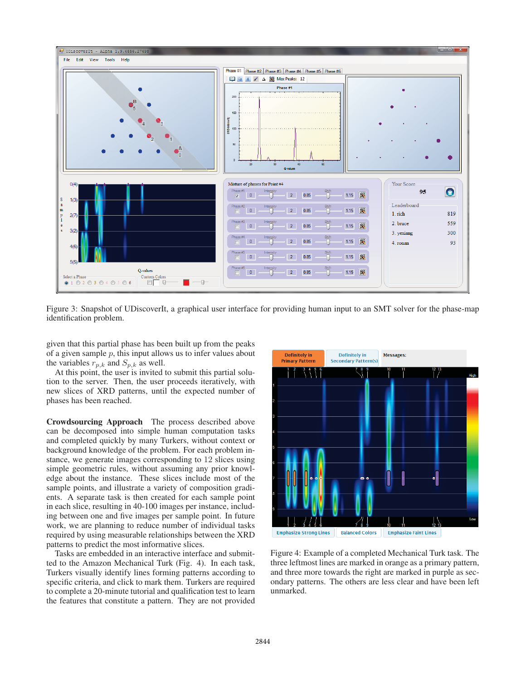

Figure 3: Snapshot of UDiscoverIt, a graphical user interface for providing human input to an SMT solver for the phase-map identification problem.

given that this partial phase has been built up from the peaks of a given sample  $p$ , this input allows us to infer values about the variables  $r_{p,k}$  and  $S_{p,k}$  as well.

At this point, the user is invited to submit this partial solution to the server. Then, the user proceeds iteratively, with new slices of XRD patterns, until the expected number of phases has been reached.

Crowdsourcing Approach The process described above can be decomposed into simple human computation tasks and completed quickly by many Turkers, without context or background knowledge of the problem. For each problem instance, we generate images corresponding to 12 slices using simple geometric rules, without assuming any prior knowledge about the instance. These slices include most of the sample points, and illustrate a variety of composition gradients. A separate task is then created for each sample point in each slice, resulting in 40-100 images per instance, including between one and five images per sample point. In future work, we are planning to reduce number of individual tasks required by using measurable relationships between the XRD patterns to predict the most informative slices.

Tasks are embedded in an interactive interface and submitted to the Amazon Mechanical Turk (Fig. 4). In each task, Turkers visually identify lines forming patterns according to specific criteria, and click to mark them. Turkers are required to complete a 20-minute tutorial and qualification test to learn the features that constitute a pattern. They are not provided



Figure 4: Example of a completed Mechanical Turk task. The three leftmost lines are marked in orange as a primary pattern, and three more towards the right are marked in purple as secondary patterns. The others are less clear and have been left unmarked.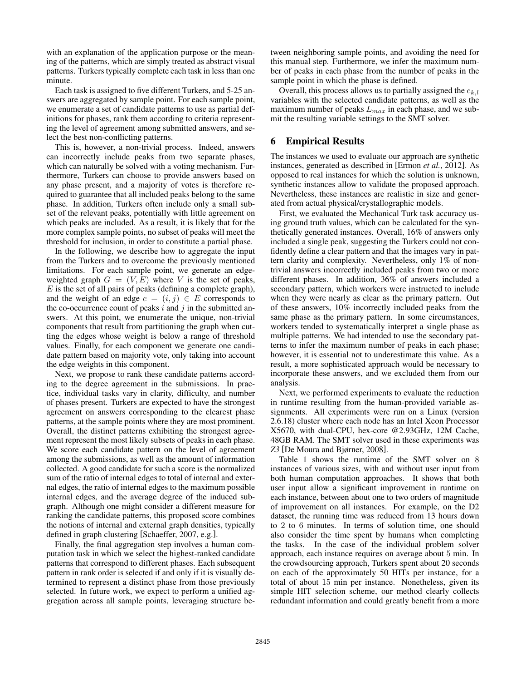with an explanation of the application purpose or the meaning of the patterns, which are simply treated as abstract visual patterns. Turkers typically complete each task in less than one minute.

Each task is assigned to five different Turkers, and 5-25 answers are aggregated by sample point. For each sample point, we enumerate a set of candidate patterns to use as partial definitions for phases, rank them according to criteria representing the level of agreement among submitted answers, and select the best non-conflicting patterns.

This is, however, a non-trivial process. Indeed, answers can incorrectly include peaks from two separate phases, which can naturally be solved with a voting mechanism. Furthermore, Turkers can choose to provide answers based on any phase present, and a majority of votes is therefore required to guarantee that all included peaks belong to the same phase. In addition, Turkers often include only a small subset of the relevant peaks, potentially with little agreement on which peaks are included. As a result, it is likely that for the more complex sample points, no subset of peaks will meet the threshold for inclusion, in order to constitute a partial phase.

In the following, we describe how to aggregate the input from the Turkers and to overcome the previously mentioned limitations. For each sample point, we generate an edgeweighted graph  $G = (V, E)$  where V is the set of peaks,  $E$  is the set of all pairs of peaks (defining a complete graph), and the weight of an edge  $e = (i, j) \in E$  corresponds to the co-occurrence count of peaks  $i$  and  $j$  in the submitted answers. At this point, we enumerate the unique, non-trivial components that result from partitioning the graph when cutting the edges whose weight is below a range of threshold values. Finally, for each component we generate one candidate pattern based on majority vote, only taking into account the edge weights in this component.

Next, we propose to rank these candidate patterns according to the degree agreement in the submissions. In practice, individual tasks vary in clarity, difficulty, and number of phases present. Turkers are expected to have the strongest agreement on answers corresponding to the clearest phase patterns, at the sample points where they are most prominent. Overall, the distinct patterns exhibiting the strongest agreement represent the most likely subsets of peaks in each phase. We score each candidate pattern on the level of agreement among the submissions, as well as the amount of information collected. A good candidate for such a score is the normalized sum of the ratio of internal edges to total of internal and external edges, the ratio of internal edges to the maximum possible internal edges, and the average degree of the induced subgraph. Although one might consider a different measure for ranking the candidate patterns, this proposed score combines the notions of internal and external graph densities, typically defined in graph clustering [Schaeffer, 2007, e.g.].

Finally, the final aggregation step involves a human computation task in which we select the highest-ranked candidate patterns that correspond to different phases. Each subsequent pattern in rank order is selected if and only if it is visually determined to represent a distinct phase from those previously selected. In future work, we expect to perform a unified aggregation across all sample points, leveraging structure between neighboring sample points, and avoiding the need for this manual step. Furthermore, we infer the maximum number of peaks in each phase from the number of peaks in the sample point in which the phase is defined.

Overall, this process allows us to partially assigned the  $e_{k,l}$ variables with the selected candidate patterns, as well as the maximum number of peaks  $L_{max}$  in each phase, and we submit the resulting variable settings to the SMT solver.

## 6 Empirical Results

The instances we used to evaluate our approach are synthetic instances, generated as described in [Ermon *et al.*, 2012]. As opposed to real instances for which the solution is unknown, synthetic instances allow to validate the proposed approach. Nevertheless, these instances are realistic in size and generated from actual physical/crystallographic models.

First, we evaluated the Mechanical Turk task accuracy using ground truth values, which can be calculated for the synthetically generated instances. Overall, 16% of answers only included a single peak, suggesting the Turkers could not confidently define a clear pattern and that the images vary in pattern clarity and complexity. Nevertheless, only 1% of nontrivial answers incorrectly included peaks from two or more different phases. In addition, 36% of answers included a secondary pattern, which workers were instructed to include when they were nearly as clear as the primary pattern. Out of these answers, 10% incorrectly included peaks from the same phase as the primary pattern. In some circumstances, workers tended to systematically interpret a single phase as multiple patterns. We had intended to use the secondary patterns to infer the maximum number of peaks in each phase; however, it is essential not to underestimate this value. As a result, a more sophisticated approach would be necessary to incorporate these answers, and we excluded them from our analysis.

Next, we performed experiments to evaluate the reduction in runtime resulting from the human-provided variable assignments. All experiments were run on a Linux (version 2.6.18) cluster where each node has an Intel Xeon Processor X5670, with dual-CPU, hex-core @2.93GHz, 12M Cache, 48GB RAM. The SMT solver used in these experiments was *Z3* [De Moura and Bjørner, 2008].

Table 1 shows the runtime of the SMT solver on 8 instances of various sizes, with and without user input from both human computation approaches. It shows that both user input allow a significant improvement in runtime on each instance, between about one to two orders of magnitude of improvement on all instances. For example, on the D2 dataset, the running time was reduced from 13 hours down to 2 to 6 minutes. In terms of solution time, one should also consider the time spent by humans when completing the tasks. In the case of the individual problem solver approach, each instance requires on average about 5 min. In the crowdsourcing approach, Turkers spent about 20 seconds on each of the approximately 50 HITs per instance, for a total of about 15 min per instance. Nonetheless, given its simple HIT selection scheme, our method clearly collects redundant information and could greatly benefit from a more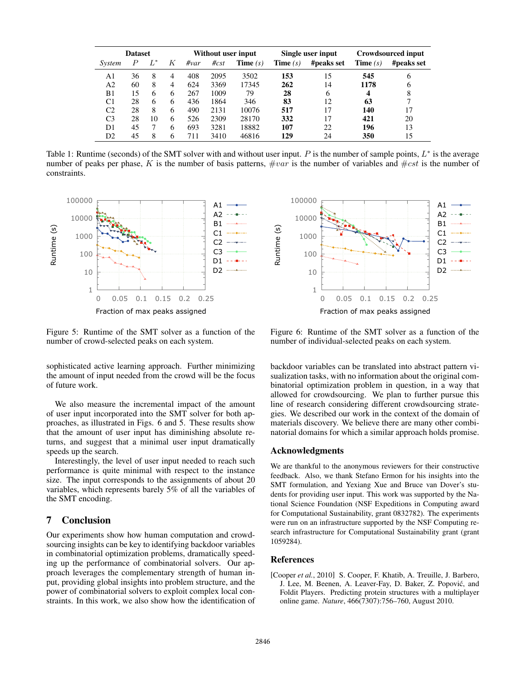|                | <b>Dataset</b> |       |                | Without user input |         |                   | Single user input |            | Crowdsourced input |            |
|----------------|----------------|-------|----------------|--------------------|---------|-------------------|-------------------|------------|--------------------|------------|
| System         |                | $L^*$ | K              | $\#var$            | $\#cst$ | <b>Time</b> $(s)$ | <b>Time</b> $(s)$ | #peaks set | <b>Time</b> $(s)$  | #peaks set |
| A1             | 36             | 8     | 4              | 408                | 2095    | 3502              | 153               | 15         | 545                | 6          |
| A <sub>2</sub> | 60             | 8     | $\overline{4}$ | 624                | 3369    | 17345             | 262               | 14         | 1178               | 6          |
| B1             | 15             | 6     | 6              | 267                | 1009    | 79                | 28                | 6          | 4                  | 8          |
| C <sub>1</sub> | 28             | 6     | 6              | 436                | 1864    | 346               | 83                | 12         | 63                 |            |
| C <sub>2</sub> | 28             | 8     | 6              | 490                | 2131    | 10076             | 517               | 17         | 140                | 17         |
| C <sub>3</sub> | 28             | 10    | 6              | 526                | 2309    | 28170             | 332               | 17         | 421                | 20         |
| D1             | 45             |       | 6              | 693                | 3281    | 18882             | 107               | 22         | 196                | 13         |
| D2             | 45             | 8     | 6              | 711                | 3410    | 46816             | 129               | 24         | 350                | 15         |

Table 1: Runtime (seconds) of the SMT solver with and without user input. P is the number of sample points,  $L^*$  is the average number of peaks per phase, K is the number of basis patterns,  $\#var$  is the number of variables and  $\#cst$  is the number of constraints.



Figure 5: Runtime of the SMT solver as a function of the number of crowd-selected peaks on each system.

sophisticated active learning approach. Further minimizing the amount of input needed from the crowd will be the focus of future work.

We also measure the incremental impact of the amount of user input incorporated into the SMT solver for both approaches, as illustrated in Figs. 6 and 5. These results show that the amount of user input has diminishing absolute returns, and suggest that a minimal user input dramatically speeds up the search.

Interestingly, the level of user input needed to reach such performance is quite minimal with respect to the instance size. The input corresponds to the assignments of about 20 variables, which represents barely 5% of all the variables of the SMT encoding.

### 7 Conclusion

Our experiments show how human computation and crowdsourcing insights can be key to identifying backdoor variables in combinatorial optimization problems, dramatically speeding up the performance of combinatorial solvers. Our approach leverages the complementary strength of human input, providing global insights into problem structure, and the power of combinatorial solvers to exploit complex local constraints. In this work, we also show how the identification of



Figure 6: Runtime of the SMT solver as a function of the number of individual-selected peaks on each system.

backdoor variables can be translated into abstract pattern visualization tasks, with no information about the original combinatorial optimization problem in question, in a way that allowed for crowdsourcing. We plan to further pursue this line of research considering different crowdsourcing strategies. We described our work in the context of the domain of materials discovery. We believe there are many other combinatorial domains for which a similar approach holds promise.

#### Acknowledgments

We are thankful to the anonymous reviewers for their constructive feedback. Also, we thank Stefano Ermon for his insights into the SMT formulation, and Yexiang Xue and Bruce van Dover's students for providing user input. This work was supported by the National Science Foundation (NSF Expeditions in Computing award for Computational Sustainability, grant 0832782). The experiments were run on an infrastructure supported by the NSF Computing research infrastructure for Computational Sustainability grant (grant 1059284).

#### References

[Cooper *et al.*, 2010] S. Cooper, F. Khatib, A. Treuille, J. Barbero, J. Lee, M. Beenen, A. Leaver-Fay, D. Baker, Z. Popovic, and ´ Foldit Players. Predicting protein structures with a multiplayer online game. *Nature*, 466(7307):756–760, August 2010.